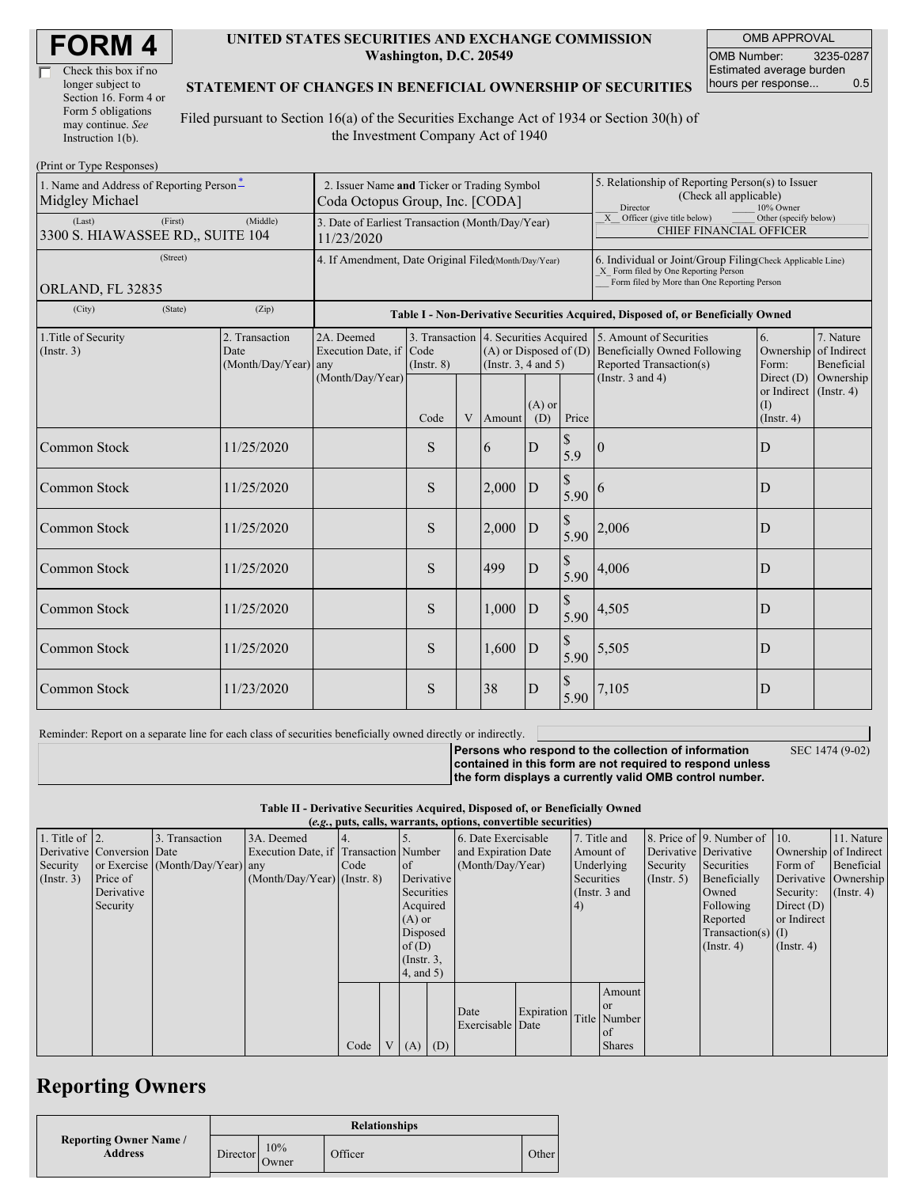| Check this box if no  |
|-----------------------|
| longer subject to     |
| Section 16. Form 4 or |
| Form 5 obligations    |
| may continue. See     |
| Instruction $1(b)$ .  |

#### **UNITED STATES SECURITIES AND EXCHANGE COMMISSION Washington, D.C. 20549**

OMB APPROVAL OMB Number: 3235-0287 Estimated average burden hours per response... 0.5

#### **STATEMENT OF CHANGES IN BENEFICIAL OWNERSHIP OF SECURITIES**

Filed pursuant to Section 16(a) of the Securities Exchange Act of 1934 or Section 30(h) of the Investment Company Act of 1940

| (Print or Type Responses)                                                                  |                                                                                |                                                           |                                                                                  |      |                                                              |        |                                                                                                                                                                                                             |                                                                                                                                    |                                                                                                                                                    |                                                     |                  |
|--------------------------------------------------------------------------------------------|--------------------------------------------------------------------------------|-----------------------------------------------------------|----------------------------------------------------------------------------------|------|--------------------------------------------------------------|--------|-------------------------------------------------------------------------------------------------------------------------------------------------------------------------------------------------------------|------------------------------------------------------------------------------------------------------------------------------------|----------------------------------------------------------------------------------------------------------------------------------------------------|-----------------------------------------------------|------------------|
| 1. Name and Address of Reporting Person*<br>Midgley Michael                                | 2. Issuer Name and Ticker or Trading Symbol<br>Coda Octopus Group, Inc. [CODA] |                                                           |                                                                                  |      |                                                              |        | 5. Relationship of Reporting Person(s) to Issuer<br>(Check all applicable)<br>Director<br>10% Owner<br>$\overline{X}$ Officer (give title below)<br>Other (specify below)<br><b>CHIEF FINANCIAL OFFICER</b> |                                                                                                                                    |                                                                                                                                                    |                                                     |                  |
| (Last)<br>3300 S. HIAWASSEE RD., SUITE 104                                                 | 3. Date of Earliest Transaction (Month/Day/Year)<br>11/23/2020                 |                                                           |                                                                                  |      |                                                              |        |                                                                                                                                                                                                             |                                                                                                                                    |                                                                                                                                                    |                                                     |                  |
| (Street)<br>ORLAND, FL 32835                                                               |                                                                                |                                                           | 4. If Amendment, Date Original Filed(Month/Day/Year)                             |      |                                                              |        |                                                                                                                                                                                                             |                                                                                                                                    | 6. Individual or Joint/Group Filing(Check Applicable Line)<br>X Form filed by One Reporting Person<br>Form filed by More than One Reporting Person |                                                     |                  |
| (Zip)<br>(City)<br>(State)                                                                 |                                                                                |                                                           | Table I - Non-Derivative Securities Acquired, Disposed of, or Beneficially Owned |      |                                                              |        |                                                                                                                                                                                                             |                                                                                                                                    |                                                                                                                                                    |                                                     |                  |
| 2. Transaction<br>1. Title of Security<br>$($ Instr. 3 $)$<br>Date<br>(Month/Day/Year) any |                                                                                | 2A. Deemed<br>Execution Date, if Code<br>(Month/Day/Year) | $($ Instr. $8)$                                                                  |      | 3. Transaction 4. Securities Acquired<br>(Instr. 3, 4 and 5) |        |                                                                                                                                                                                                             | 5. Amount of Securities<br>(A) or Disposed of (D) Beneficially Owned Following<br>Reported Transaction(s)<br>(Instr. $3$ and $4$ ) | 6.<br>Ownership<br>Form:<br>Direct $(D)$                                                                                                           | 7. Nature<br>of Indirect<br>Beneficial<br>Ownership |                  |
|                                                                                            |                                                                                |                                                           |                                                                                  | Code | V                                                            | Amount | $(A)$ or<br>(D)                                                                                                                                                                                             | Price                                                                                                                              |                                                                                                                                                    | or Indirect<br>$\rm (I)$<br>(Insert, 4)             | $($ Instr. 4 $)$ |
| Common Stock                                                                               |                                                                                | 11/25/2020                                                |                                                                                  | S    |                                                              | 6      | D                                                                                                                                                                                                           | \$<br>5.9                                                                                                                          | $\Omega$                                                                                                                                           | D                                                   |                  |
| Common Stock                                                                               |                                                                                | 11/25/2020                                                |                                                                                  | S    |                                                              | 2,000  | D                                                                                                                                                                                                           | \$<br>5.90                                                                                                                         | 6                                                                                                                                                  | D                                                   |                  |
| Common Stock                                                                               |                                                                                | 11/25/2020                                                |                                                                                  | S    |                                                              | 2,000  | D                                                                                                                                                                                                           | $\mathbb{S}$<br>5.90                                                                                                               | 2,006                                                                                                                                              | D                                                   |                  |
| Common Stock                                                                               |                                                                                | 11/25/2020                                                |                                                                                  | S    |                                                              | 499    | D                                                                                                                                                                                                           | \$<br>5.90                                                                                                                         | 4,006                                                                                                                                              | D                                                   |                  |
| Common Stock                                                                               |                                                                                | 11/25/2020                                                |                                                                                  | S    |                                                              | 1,000  | $\mathbf{D}$                                                                                                                                                                                                | $\mathcal{S}$<br>5.90                                                                                                              | 4,505                                                                                                                                              | D                                                   |                  |
| Common Stock                                                                               |                                                                                | 11/25/2020                                                |                                                                                  | S    |                                                              | 1,600  | D                                                                                                                                                                                                           | \$<br>5.90                                                                                                                         | 5,505                                                                                                                                              | D                                                   |                  |
| Common Stock                                                                               |                                                                                | 11/23/2020                                                |                                                                                  | S    |                                                              | 38     | D                                                                                                                                                                                                           | \$<br>5.90                                                                                                                         | 7,105                                                                                                                                              | D                                                   |                  |

Reminder: Report on a separate line for each class of securities beneficially owned directly or indirectly.

**Persons who respond to the collection of information contained in this form are not required to respond unless** SEC 1474 (9-02)

**the form displays a currently valid OMB control number.**

| Table II - Derivative Securities Acquired, Disposed of, or Beneficially Owned |  |
|-------------------------------------------------------------------------------|--|
| (e a nuts calls warrants ontions convertible securities)                      |  |

| $(c, g, pus, can, wariants, vpuons, convcituvto scentuvos)$ |                            |                                  |                                       |      |  |                  |                     |                     |                         |            |                 |                       |                              |                  |                       |
|-------------------------------------------------------------|----------------------------|----------------------------------|---------------------------------------|------|--|------------------|---------------------|---------------------|-------------------------|------------|-----------------|-----------------------|------------------------------|------------------|-----------------------|
| 1. Title of $ 2$ .                                          |                            | 3. Transaction                   | 3A. Deemed                            |      |  |                  |                     | 6. Date Exercisable |                         |            | 7. Title and    |                       | 8. Price of 9. Number of 10. |                  | 11. Nature            |
|                                                             | Derivative Conversion Date |                                  | Execution Date, if Transaction Number |      |  |                  | and Expiration Date |                     |                         | Amount of  |                 | Derivative Derivative |                              |                  | Ownership of Indirect |
| Security                                                    |                            | or Exercise (Month/Day/Year) any |                                       | Code |  | <sub>of</sub>    | (Month/Day/Year)    |                     |                         | Underlying | Security        | Securities            | Form of                      | Beneficial       |                       |
| $($ Instr. 3 $)$                                            | Price of                   |                                  | $(Month/Day/Year)$ (Instr. 8)         |      |  |                  | Derivative          |                     |                         | Securities |                 | $($ Instr. 5 $)$      | Beneficially                 |                  | Derivative Ownership  |
|                                                             | Derivative                 |                                  |                                       |      |  | Securities       |                     |                     |                         |            | (Instr. $3$ and |                       | Owned                        | Security:        | $($ Instr. 4)         |
|                                                             | Security                   |                                  |                                       |      |  | Acquired         |                     |                     |                         | (4)        |                 |                       | Following                    | Direct $(D)$     |                       |
|                                                             |                            |                                  |                                       |      |  | $(A)$ or         |                     |                     |                         |            |                 |                       | Reported                     | or Indirect      |                       |
|                                                             |                            |                                  |                                       |      |  | Disposed         |                     |                     |                         |            |                 |                       | $Transaction(s)$ (I)         |                  |                       |
|                                                             |                            |                                  |                                       |      |  | of(D)            |                     |                     |                         |            |                 |                       | $($ Instr. 4 $)$             | $($ Instr. 4 $)$ |                       |
|                                                             |                            |                                  |                                       |      |  | $($ Instr. $3$ , |                     |                     |                         |            |                 |                       |                              |                  |                       |
|                                                             |                            |                                  |                                       |      |  | 4, and 5)        |                     |                     |                         |            |                 |                       |                              |                  |                       |
|                                                             |                            |                                  |                                       |      |  |                  |                     |                     |                         |            | Amount          |                       |                              |                  |                       |
|                                                             |                            |                                  |                                       |      |  |                  |                     |                     |                         |            | <b>or</b>       |                       |                              |                  |                       |
|                                                             |                            |                                  |                                       |      |  |                  |                     | Date                | Expiration Title Number |            |                 |                       |                              |                  |                       |
|                                                             |                            |                                  |                                       |      |  |                  |                     | Exercisable Date    |                         |            | of              |                       |                              |                  |                       |
|                                                             |                            |                                  |                                       | Code |  | $V(A)$ (D)       |                     |                     |                         |            | <b>Shares</b>   |                       |                              |                  |                       |

## **Reporting Owners**

|                                                 | <b>Relationships</b> |              |         |                    |  |  |  |  |
|-------------------------------------------------|----------------------|--------------|---------|--------------------|--|--|--|--|
| <b>Reporting Owner Name /</b><br><b>Address</b> | Director             | 10%<br>Owner | Officer | Other <sub>1</sub> |  |  |  |  |